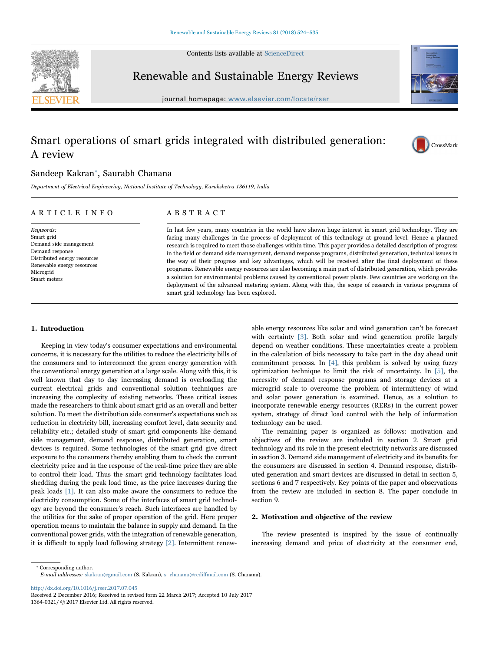Contents lists available at [ScienceDirect](http://www.sciencedirect.com/science/journal/13640321)



Renewable and Sustainable Energy Reviews

journal homepage: [www.elsevier.com/locate/rser](http://www.elsevier.com/locate/rser)

# Smart operations of smart grids integrated with distributed generation: A review



# Sandeep Kakran⁎ [, Saurabh Chanana](#page-0-0)

Department of Electrical Engineering, National Institute of Technology, Kurukshetra 136119, India

### ARTICLE INFO

Keywords: Smart grid Demand side management Demand response Distributed energy resources Renewable energy resources Microgrid Smart meters

## ABSTRACT

In last few years, many countries in the world have shown huge interest in smart grid technology. They are facing many challenges in the process of deployment of this technology at ground level. Hence a planned research is required to meet those challenges within time. This paper provides a detailed description of progress in the field of demand side management, demand response programs, distributed generation, technical issues in the way of their progress and key advantages, which will be received after the final deployment of these programs. Renewable energy resources are also becoming a main part of distributed generation, which provides a solution for environmental problems caused by conventional power plants. Few countries are working on the deployment of the advanced metering system. Along with this, the scope of research in various programs of smart grid technology has been explored.

#### 1. Introduction

Keeping in view today's consumer expectations and environmental concerns, it is necessary for the utilities to reduce the electricity bills of the consumers and to interconnect the green energy generation with the conventional energy generation at a large scale. Along with this, it is well known that day to day increasing demand is overloading the current electrical grids and conventional solution techniques are increasing the complexity of existing networks. These critical issues made the researchers to think about smart grid as an overall and better solution. To meet the distribution side consumer's expectations such as reduction in electricity bill, increasing comfort level, data security and reliability etc.; detailed study of smart grid components like demand side management, demand response, distributed generation, smart devices is required. Some technologies of the smart grid give direct exposure to the consumers thereby enabling them to check the current electricity price and in the response of the real-time price they are able to control their load. Thus the smart grid technology facilitates load shedding during the peak load time, as the price increases during the peak loads [\[1\].](#page-8-0) It can also make aware the consumers to reduce the electricity consumption. Some of the interfaces of smart grid technology are beyond the consumer's reach. Such interfaces are handled by the utilities for the sake of proper operation of the grid. Here proper operation means to maintain the balance in supply and demand. In the conventional power grids, with the integration of renewable generation, it is difficult to apply load following strategy [\[2\]](#page-8-1). Intermittent renewable energy resources like solar and wind generation can't be forecast with certainty [\[3\]](#page-8-2). Both solar and wind generation profile largely depend on weather conditions. These uncertainties create a problem in the calculation of bids necessary to take part in the day ahead unit commitment process. In [\[4\],](#page-8-3) this problem is solved by using fuzzy optimization technique to limit the risk of uncertainty. In [\[5\]](#page-8-4), the necessity of demand response programs and storage devices at a microgrid scale to overcome the problem of intermittency of wind and solar power generation is examined. Hence, as a solution to incorporate renewable energy resources (RERs) in the current power system, strategy of direct load control with the help of information technology can be used.

The remaining paper is organized as follows: motivation and objectives of the review are included in section 2. Smart grid technology and its role in the present electricity networks are discussed in section 3. Demand side management of electricity and its benefits for the consumers are discussed in section 4. Demand response, distributed generation and smart devices are discussed in detail in section 5, sections 6 and 7 respectively. Key points of the paper and observations from the review are included in section 8. The paper conclude in section 9.

#### 2. Motivation and objective of the review

The review presented is inspired by the issue of continually increasing demand and price of electricity at the consumer end,

<span id="page-0-0"></span>⁎ Corresponding author.

E-mail addresses: skakran@gmail.com (S. Kakran), s\_chanana@rediffmail.com (S. Chanana).

<http://dx.doi.org/10.1016/j.rser.2017.07.045>

Received 2 December 2016; Received in revised form 22 March 2017; Accepted 10 July 2017 1364-0321/ © 2017 Elsevier Ltd. All rights reserved.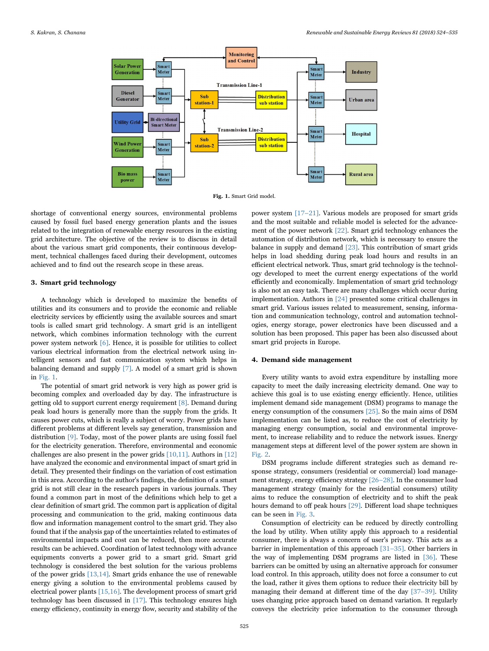<span id="page-1-0"></span>

Fig. 1. Smart Grid model.

shortage of conventional energy sources, environmental problems caused by fossil fuel based energy generation plants and the issues related to the integration of renewable energy resources in the existing grid architecture. The objective of the review is to discuss in detail about the various smart grid components, their continuous development, technical challenges faced during their development, outcomes achieved and to find out the research scope in these areas.

#### 3. Smart grid technology

A technology which is developed to maximize the benefits of utilities and its consumers and to provide the economic and reliable electricity services by efficiently using the available sources and smart tools is called smart grid technology. A smart grid is an intelligent network, which combines information technology with the current power system network [\[6\]](#page-8-5). Hence, it is possible for utilities to collect various electrical information from the electrical network using intelligent sensors and fast communication system which helps in balancing demand and supply [\[7\]](#page-8-6). A model of a smart grid is shown in [Fig. 1.](#page-1-0)

The potential of smart grid network is very high as power grid is becoming complex and overloaded day by day. The infrastructure is getting old to support current energy requirement [\[8\]](#page-8-7). Demand during peak load hours is generally more than the supply from the grids. It causes power cuts, which is really a subject of worry. Power grids have different problems at different levels say generation, transmission and distribution [\[9\].](#page-8-8) Today, most of the power plants are using fossil fuel for the electricity generation. Therefore, environmental and economic challenges are also present in the power grids [\[10,11\].](#page-8-9) Authors in [\[12\]](#page-8-10) have analyzed the economic and environmental impact of smart grid in detail. They presented their findings on the variation of cost estimation in this area. According to the author's findings, the definition of a smart grid is not still clear in the research papers in various journals. They found a common part in most of the definitions which help to get a clear definition of smart grid. The common part is application of digital processing and communication to the grid, making continuous data flow and information management control to the smart grid. They also found that if the analysis gap of the uncertainties related to estimates of environmental impacts and cost can be reduced, then more accurate results can be achieved. Coordination of latest technology with advance equipments converts a power grid to a smart grid. Smart grid technology is considered the best solution for the various problems of the power grids [\[13,14\]](#page-8-11). Smart grids enhance the use of renewable energy giving a solution to the environmental problems caused by electrical power plants [\[15,16\].](#page-8-12) The development process of smart grid technology has been discussed in [\[17\].](#page-8-13) This technology ensures high energy efficiency, continuity in energy flow, security and stability of the

power system [\[17](#page-8-13)–21]. Various models are proposed for smart grids and the most suitable and reliable model is selected for the advancement of the power network [\[22\]](#page-8-14). Smart grid technology enhances the automation of distribution network, which is necessary to ensure the balance in supply and demand [\[23\].](#page-8-15) This contribution of smart grids helps in load shedding during peak load hours and results in an efficient electrical network. Thus, smart grid technology is the technology developed to meet the current energy expectations of the world efficiently and economically. Implementation of smart grid technology is also not an easy task. There are many challenges which occur during implementation. Authors in [\[24\]](#page-8-16) presented some critical challenges in smart grid. Various issues related to measurement, sensing, information and communication technology, control and automation technologies, energy storage, power electronics have been discussed and a solution has been proposed. This paper has been also discussed about smart grid projects in Europe.

#### 4. Demand side management

Every utility wants to avoid extra expenditure by installing more capacity to meet the daily increasing electricity demand. One way to achieve this goal is to use existing energy efficiently. Hence, utilities implement demand side management (DSM) programs to manage the energy consumption of the consumers [\[25\].](#page-8-17) So the main aims of DSM implementation can be listed as, to reduce the cost of electricity by managing energy consumption, social and environmental improvement, to increase reliability and to reduce the network issues. Energy management steps at different level of the power system are shown in [Fig. 2](#page-2-0).

DSM programs include different strategies such as demand response strategy, consumers (residential or commercial) load management strategy, energy efficiency strategy [26–[28\].](#page-8-18) In the consumer load management strategy (mainly for the residential consumers) utility aims to reduce the consumption of electricity and to shift the peak hours demand to off peak hours [\[29\]](#page--1-0). Different load shape techniques can be seen in [Fig. 3](#page-2-1).

Consumption of electricity can be reduced by directly controlling the load by utility. When utility apply this approach to a residential consumer, there is always a concern of user's privacy. This acts as a barrier in implementation of this approach [\[31](#page--1-1)–35]. Other barriers in the way of implementing DSM programs are listed in [\[36\].](#page--1-2) These barriers can be omitted by using an alternative approach for consumer load control. In this approach, utility does not force a consumer to cut the load, rather it gives them options to reduce their electricity bill by managing their demand at different time of the day [37–[39\].](#page--1-3) Utility uses changing price approach based on demand variation. It regularly conveys the electricity price information to the consumer through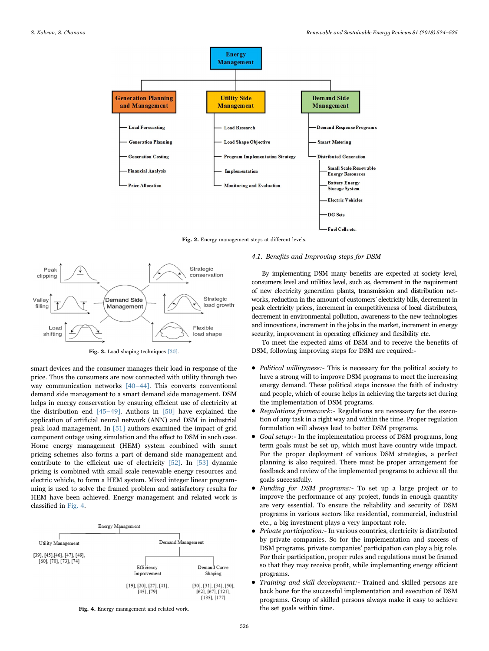<span id="page-2-0"></span>

Fig. 2. Energy management steps at different levels.

<span id="page-2-1"></span>

Fig. 3. Load shaping techniques [\[30\]](#page--1-10).

smart devices and the consumer manages their load in response of the price. Thus the consumers are now connected with utility through two way communication networks [40–[44\].](#page--1-4) This converts conventional demand side management to a smart demand side management. DSM helps in energy conservation by ensuring efficient use of electricity at the distribution end [45–[49\].](#page--1-5) Authors in [\[50\]](#page--1-6) have explained the application of artificial neural network (ANN) and DSM in industrial peak load management. In [\[51\]](#page--1-7) authors examined the impact of grid component outage using simulation and the effect to DSM in such case. Home energy management (HEM) system combined with smart pricing schemes also forms a part of demand side management and contribute to the efficient use of electricity [\[52\]](#page--1-8). In [\[53\]](#page--1-9) dynamic pricing is combined with small scale renewable energy resources and electric vehicle, to form a HEM system. Mixed integer linear programming is used to solve the framed problem and satisfactory results for HEM have been achieved. Energy management and related work is classified in [Fig. 4.](#page-2-2)

<span id="page-2-2"></span>

Fig. 4. Energy management and related work.

#### 4.1. Benefits and Improving steps for DSM

By implementing DSM many benefits are expected at society level, consumers level and utilities level, such as, decrement in the requirement of new electricity generation plants, transmission and distribution networks, reduction in the amount of customers' electricity bills, decrement in peak electricity prices, increment in competitiveness of local distributers, decrement in environmental pollution, awareness to the new technologies and innovations, increment in the jobs in the market, increment in energy security, improvement in operating efficiency and flexibility etc.

To meet the expected aims of DSM and to receive the benefits of DSM, following improving steps for DSM are required:-

- Political willingness:- This is necessary for the political society to have a strong will to improve DSM programs to meet the increasing energy demand. These political steps increase the faith of industry and people, which of course helps in achieving the targets set during the implementation of DSM programs.
- Regulations framework:- Regulations are necessary for the execution of any task in a right way and within the time. Proper regulation formulation will always lead to better DSM programs.
- Goal setup:- In the implementation process of DSM programs, long term goals must be set up, which must have country wide impact. For the proper deployment of various DSM strategies, a perfect planning is also required. There must be proper arrangement for feedback and review of the implemented programs to achieve all the goals successfully.
- Funding for DSM programs:- To set up a large project or to improve the performance of any project, funds in enough quantity are very essential. To ensure the reliability and security of DSM programs in various sectors like residential, commercial, industrial etc., a big investment plays a very important role.
- Private participation:- In various countries, electricity is distributed by private companies. So for the implementation and success of DSM programs, private companies' participation can play a big role. For their participation, proper rules and regulations must be framed so that they may receive profit, while implementing energy efficient programs.
- Training and skill development:- Trained and skilled persons are back bone for the successful implementation and execution of DSM programs. Group of skilled persons always make it easy to achieve the set goals within time.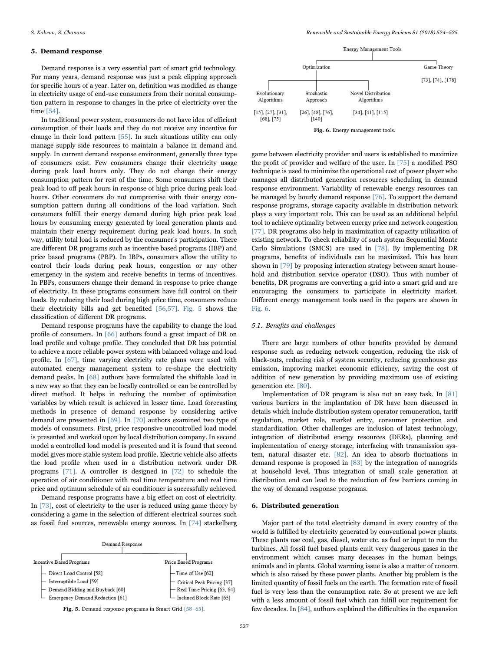#### 5. Demand response

Demand response is a very essential part of smart grid technology. For many years, demand response was just a peak clipping approach for specific hours of a year. Later on, definition was modified as change in electricity usage of end-use consumers from their normal consumption pattern in response to changes in the price of electricity over the time [\[54\]](#page--1-11).

In traditional power system, consumers do not have idea of efficient consumption of their loads and they do not receive any incentive for change in their load pattern [\[55\]](#page--1-12). In such situations utility can only manage supply side resources to maintain a balance in demand and supply. In current demand response environment, generally three type of consumers exist. Few consumers change their electricity usage during peak load hours only. They do not change their energy consumption pattern for rest of the time. Some consumers shift their peak load to off peak hours in response of high price during peak load hours. Other consumers do not compromise with their energy consumption pattern during all conditions of the load variation. Such consumers fulfill their energy demand during high price peak load hours by consuming energy generated by local generation plants and maintain their energy requirement during peak load hours. In such way, utility total load is reduced by the consumer's participation. There are different DR programs such as incentive based programs (IBP) and price based programs (PBP). In IBPs, consumers allow the utility to control their loads during peak hours, congestion or any other emergency in the system and receive benefits in terms of incentives. In PBPs, consumers change their demand in response to price change of electricity. In these programs consumers have full control on their loads. By reducing their load during high price time, consumers reduce their electricity bills and get benefited [\[56,57\]](#page--1-13). [Fig. 5](#page-3-0) shows the classification of different DR programs.

Demand response programs have the capability to change the load profile of consumers. In [\[66\]](#page--1-14) authors found a great impact of DR on load profile and voltage profile. They concluded that DR has potential to achieve a more reliable power system with balanced voltage and load profile. In [\[67\],](#page--1-15) time varying electricity rate plans were used with automated energy management system to re-shape the electricity demand peaks. In [\[68\]](#page--1-16) authors have formulated the shiftable load in a new way so that they can be locally controlled or can be controlled by direct method. It helps in reducing the number of optimization variables by which result is achieved in lesser time. Load forecasting methods in presence of demand response by considering active demand are presented in [\[69\]](#page--1-17). In [\[70\]](#page--1-18) authors examined two type of models of consumers. First, price responsive uncontrolled load model is presented and worked upon by local distribution company. In second model a controlled load model is presented and it is found that second model gives more stable system load profile. Electric vehicle also affects the load profile when used in a distribution network under DR programs [\[71\].](#page--1-19) A controller is designed in [\[72\]](#page--1-20) to schedule the operation of air conditioner with real time temperature and real time price and optimum schedule of air conditioner is successfully achieved.

Demand response programs have a big effect on cost of electricity. In [\[73\],](#page--1-21) cost of electricity to the user is reduced using game theory by considering a game in the selection of different electrical sources such as fossil fuel sources, renewable energy sources. In [\[74\]](#page--1-22) stackelberg

<span id="page-3-0"></span>

| Demand Response                                                                                                                                       |                                                                                                                                  |
|-------------------------------------------------------------------------------------------------------------------------------------------------------|----------------------------------------------------------------------------------------------------------------------------------|
| Incentive Based Programs<br>Direct Load Control [58]<br>Interruptible Load [59]<br>Demand Bidding and Buyback [60]<br>Emergency Demand Reduction [61] | Price Based Programs<br>Time of Use [62]<br>Critical Peak Pricing [37]<br>Real Time Pricing [63, 64]<br>Inclined Block Rate [65] |
|                                                                                                                                                       |                                                                                                                                  |



<span id="page-3-1"></span>

game between electricity provider and users is established to maximize the profit of provider and welfare of the user. In [\[75\]](#page--1-23) a modified PSO technique is used to minimize the operational cost of power player who manages all distributed generation resources scheduling in demand response environment. Variability of renewable energy resources can be managed by hourly demand response [\[76\].](#page--1-24) To support the demand response programs, storage capacity available in distribution network plays a very important role. This can be used as an additional helpful tool to achieve optimality between energy price and network congestion [\[77\].](#page--1-25) DR programs also help in maximization of capacity utilization of existing network. To check reliability of such system Sequential Monte Carlo Simulations (SMCS) are used in [\[78\].](#page--1-26) By implementing DR programs, benefits of individuals can be maximized. This has been shown in [\[79\]](#page--1-27) by proposing interaction strategy between smart household and distribution service operator (DSO). Thus with number of benefits, DR programs are converting a grid into a smart grid and are encouraging the consumers to participate in electricity market. Different energy management tools used in the papers are shown in [Fig. 6](#page-3-1).

#### 5.1. Benefits and challenges

There are large numbers of other benefits provided by demand response such as reducing network congestion, reducing the risk of black-outs, reducing risk of system security, reducing greenhouse gas emission, improving market economic efficiency, saving the cost of addition of new generation by providing maximum use of existing generation etc. [\[80\]](#page--1-28).

Implementation of DR program is also not an easy task. In [\[81\]](#page--1-29) various barriers in the implantation of DR have been discussed in details which include distribution system operator remuneration, tariff regulation, market role, market entry, consumer protection and standardization. Other challenges are inclusion of latest technology, integration of distributed energy resources (DERs), planning and implementation of energy storage, interfacing with transmission system, natural disaster etc. [\[82\]](#page--1-30). An idea to absorb fluctuations in demand response is proposed in [\[83\]](#page--1-31) by the integration of nanogrids at household level. Thus integration of small scale generation at distribution end can lead to the reduction of few barriers coming in the way of demand response programs.

#### 6. Distributed generation

Major part of the total electricity demand in every country of the world is fulfilled by electricity generated by conventional power plants. These plants use coal, gas, diesel, water etc. as fuel or input to run the turbines. All fossil fuel based plants emit very dangerous gases in the environment which causes many deceases in the human beings, animals and in plants. Global warming issue is also a matter of concern which is also raised by these power plants. Another big problem is the limited quantity of fossil fuels on the earth. The formation rate of fossil fuel is very less than the consumption rate. So at present we are left with a less amount of fossil fuel which can fulfill our requirement for Fig. 5. Demand response programs in Smart Grid [58–[65\].](#page--1-33) few decades. In [\[84\],](#page--1-32) authors explained the difficulties in the expansion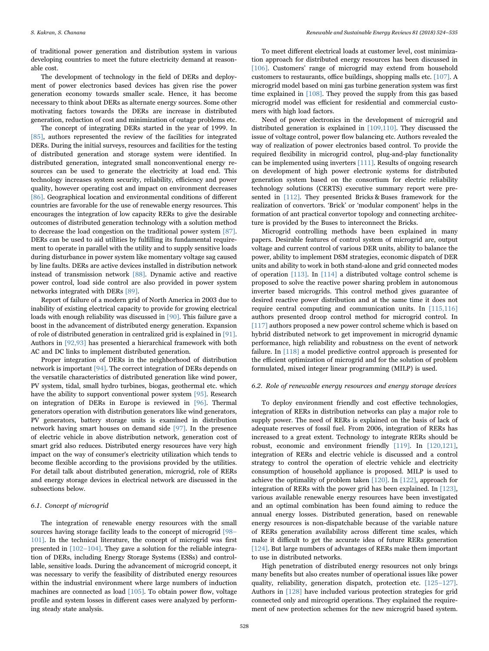of traditional power generation and distribution system in various developing countries to meet the future electricity demand at reasonable cost.

The development of technology in the field of DERs and deployment of power electronics based devices has given rise the power generation economy towards smaller scale. Hence, it has become necessary to think about DERs as alternate energy sources. Some other motivating factors towards the DERs are increase in distributed generation, reduction of cost and minimization of outage problems etc.

The concept of integrating DERs started in the year of 1999. In [\[85\],](#page--1-34) authors represented the review of the facilities for integrated DERs. During the initial surveys, resources and facilities for the testing of distributed generation and storage system were identified. In distributed generation, integrated small nonconventional energy resources can be used to generate the electricity at load end. This technology increases system security, reliability, efficiency and power quality, however operating cost and impact on environment decreases [\[86\].](#page--1-35) Geographical location and environmental conditions of different countries are favorable for the use of renewable energy resources. This encourages the integration of low capacity RERs to give the desirable outcomes of distributed generation technology with a solution method to decrease the load congestion on the traditional power system [\[87\].](#page--1-36) DERs can be used to aid utilities by fulfilling its fundamental requirement to operate in parallel with the utility and to supply sensitive loads during disturbance in power system like momentary voltage sag caused by line faults. DERs are active devices installed in distribution network instead of transmission network [\[88\].](#page--1-37) Dynamic active and reactive power control, load side control are also provided in power system networks integrated with DERs [\[89\].](#page--1-38)

Report of failure of a modern grid of North America in 2003 due to inability of existing electrical capacity to provide for growing electrical loads with enough reliability was discussed in [\[90\]](#page--1-39). This failure gave a boost in the advancement of distributed energy generation. Expansion of role of distributed generation in centralized grid is explained in [\[91\].](#page--1-10) Authors in [\[92,93\]](#page--1-1) has presented a hierarchical framework with both AC and DC links to implement distributed generation.

Proper integration of DERs in the neighborhood of distribution network is important [\[94\]](#page--1-40). The correct integration of DERs depends on the versatile characteristics of distributed generation like wind power, PV system, tidal, small hydro turbines, biogas, geothermal etc. which have the ability to support conventional power system [\[95\]](#page--1-41). Research on integration of DERs in Europe is reviewed in [\[96\]](#page--1-3). Thermal generators operation with distribution generators like wind generators, PV generators, battery storage units is examined in distribution network having smart houses on demand side [\[97\]](#page--1-42). In the presence of electric vehicle in above distribution network, generation cost of smart grid also reduces. Distributed energy resources have very high impact on the way of consumer's electricity utilization which tends to become flexible according to the provisions provided by the utilities. For detail talk about distributed generation, microgrid, role of RERs and energy storage devices in electrical network are discussed in the subsections below.

#### 6.1. Concept of microgrid

The integration of renewable energy resources with the small sources having storage facility leads to the concept of microgrid [\[98](#page--1-4)– [101\]](#page--1-4). In the technical literature, the concept of microgrid was first presented in [102–[104\]](#page--1-5). They gave a solution for the reliable integration of DERs, including Energy Storage Systems (ESSs) and controllable, sensitive loads. During the advancement of microgrid concept, it was necessary to verify the feasibility of distributed energy resources within the industrial environment where large numbers of induction machines are connected as load [\[105\].](#page--1-43) To obtain power flow, voltage profile and system losses in different cases were analyzed by performing steady state analysis.

To meet different electrical loads at customer level, cost minimization approach for distributed energy resources has been discussed in [\[106\]](#page--1-6). Customers' range of microgrid may extend from household customers to restaurants, office buildings, shopping malls etc. [\[107\].](#page--1-7) A microgrid model based on mini gas turbine generation system was first time explained in [\[108\]](#page--1-44). They proved the supply from this gas based microgrid model was efficient for residential and commercial customers with high load factors.

Need of power electronics in the development of microgrid and distributed generation is explained in [\[109,110\].](#page--1-45) They discussed the issue of voltage control, power flow balancing etc. Authors revealed the way of realization of power electronics based control. To provide the required flexibility in microgrid control, plug-and-play functionality can be implemented using inverters [\[111\]](#page--1-12). Results of ongoing research on development of high power electronic systems for distributed generation system based on the consortium for electric reliability technology solutions (CERTS) executive summary report were presented in [\[112\]](#page--1-46). They presented Bricks & Buses framework for the realization of convertors. 'Brick' or 'modular component' helps in the formation of ant practical convertor topology and connecting architecture is provided by the Buses to interconnect the Bricks.

Microgrid controlling methods have been explained in many papers. Desirable features of control system of microgrid are, output voltage and current control of various DER units, ability to balance the power, ability to implement DSM strategies, economic dispatch of DER units and ability to work in both stand-alone and grid connected modes of operation [\[113\]](#page--1-47). In [\[114\]](#page--1-48) a distributed voltage control scheme is proposed to solve the reactive power sharing problem in autonomous inverter based microgrids. This control method gives guarantee of desired reactive power distribution and at the same time it does not require central computing and communication units. In [\[115,116\]](#page--1-49) authors presented droop control method for microgrid control. In [\[117\]](#page--1-50) authors proposed a new power control scheme which is based on hybrid distributed network to get improvement in microgrid dynamic performance, high reliability and robustness on the event of network failure. In [\[118\]](#page--1-51) a model predictive control approach is presented for the efficient optimization of microgrid and for the solution of problem formulated, mixed integer linear programming (MILP) is used.

#### 6.2. Role of renewable energy resources and energy storage devices

To deploy environment friendly and cost effective technologies, integration of RERs in distribution networks can play a major role to supply power. The need of RERs is explained on the basis of lack of adequate reserves of fossil fuel. From 2006, integration of RERs has increased to a great extent. Technology to integrate RERs should be robust, economic and environment friendly [\[119\]](#page--1-52). In [\[120,121\]](#page--1-14), integration of RERs and electric vehicle is discussed and a control strategy to control the operation of electric vehicle and electricity consumption of household appliance is proposed. MILP is used to achieve the optimality of problem taken [\[120\]](#page--1-14). In [\[122\]](#page--1-53), approach for integration of RERs with the power grid has been explained. In [\[123\],](#page--1-54) various available renewable energy resources have been investigated and an optimal combination has been found aiming to reduce the annual energy losses. Distributed generation, based on renewable energy resources is non-dispatchable because of the variable nature of RERs generation availability across different time scales, which make it difficult to get the accurate idea of future RERs generation [\[124\]](#page--1-55). But large numbers of advantages of RERs make them important to use in distributed networks.

High penetration of distributed energy resources not only brings many benefits but also creates number of operational issues like power quality, reliability, generation dispatch, protection etc. [\[125](#page--1-56)–127]. Authors in [\[128\]](#page--1-57) have included various protection strategies for grid connected only and mircogrid operations. They explained the requirement of new protection schemes for the new microgrid based system.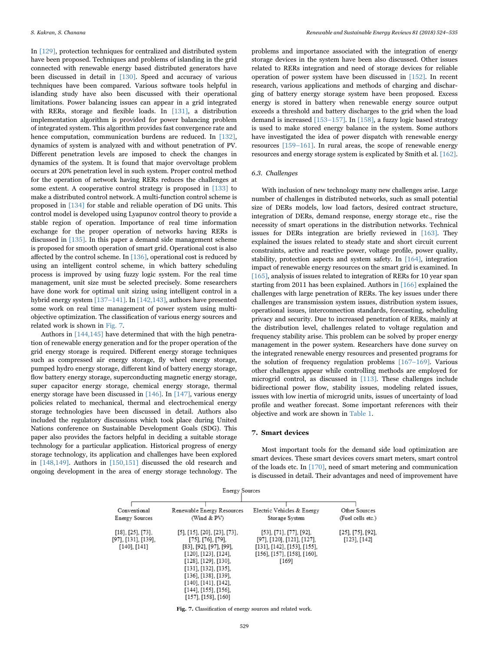In [\[129\],](#page--1-58) protection techniques for centralized and distributed system have been proposed. Techniques and problems of islanding in the grid connected with renewable energy based distributed generators have been discussed in detail in [\[130\]](#page--1-59). Speed and accuracy of various techniques have been compared. Various software tools helpful in islanding study have also been discussed with their operational limitations. Power balancing issues can appear in a grid integrated with RERs, storage and flexible loads. In [\[131\],](#page--1-60) a distribution implementation algorithm is provided for power balancing problem of integrated system. This algorithm provides fast convergence rate and hence computation, communication burdens are reduced. In [\[132\],](#page--1-61) dynamics of system is analyzed with and without penetration of PV. Different penetration levels are imposed to check the changes in dynamics of the system. It is found that major overvoltage problem occurs at 20% penetration level in such system. Proper control method for the operation of network having RERs reduces the challenges at some extent. A cooperative control strategy is proposed in [\[133\]](#page--1-62) to make a distributed control network. A multi-function control scheme is proposed in [\[134\]](#page--1-63) for stable and reliable operation of DG units. This control model is developed using Lyapunov control theory to provide a stable region of operation. Importance of real time information exchange for the proper operation of networks having RERs is discussed in [\[135\].](#page--1-64) In this paper a demand side management scheme is proposed for smooth operation of smart grid. Operational cost is also affected by the control scheme. In [\[136\],](#page--1-28) operational cost is reduced by using an intelligent control scheme, in which battery scheduling process is improved by using fuzzy logic system. For the real time management, unit size must be selected precisely. Some researchers have done work for optimal unit sizing using intelligent control in a hybrid energy system [137–[141\]](#page--1-65). In [\[142,143\]](#page--1-32), authors have presented some work on real time management of power system using multiobjective optimization. The classification of various energy sources and related work is shown in [Fig. 7](#page-5-0).

Authors in [\[144,145\]](#page--1-66) have determined that with the high penetration of renewable energy generation and for the proper operation of the grid energy storage is required. Different energy storage techniques such as compressed air energy storage, fly wheel energy storage, pumped hydro energy storage, different kind of battery energy storage, flow battery energy storage, superconducting magnetic energy storage, super capacitor energy storage, chemical energy storage, thermal energy storage have been discussed in [\[146\].](#page--1-67) In [\[147\],](#page--1-68) various energy policies related to mechanical, thermal and electrochemical energy storage technologies have been discussed in detail. Authors also included the regulatory discussions which took place during United Nations conference on Sustainable Development Goals (SDG). This paper also provides the factors helpful in deciding a suitable storage technology for a particular application. Historical progress of energy storage technology, its application and challenges have been explored in [\[148,149\].](#page--1-38) Authors in [\[150,151\]](#page--1-69) discussed the old research and ongoing development in the area of energy storage technology. The

problems and importance associated with the integration of energy storage devices in the system have been also discussed. Other issues related to RERs integration and need of storage devices for reliable operation of power system have been discussed in [\[152\]](#page--1-70). In recent research, various applications and methods of charging and discharging of battery energy storage system have been proposed. Excess energy is stored in battery when renewable energy source output exceeds a threshold and battery discharges to the grid when the load demand is increased [153–[157\].](#page--1-71) In [\[158\]](#page--1-72), a fuzzy logic based strategy is used to make stored energy balance in the system. Some authors have investigated the idea of power dispatch with renewable energy resources [159–[161\].](#page--1-73) In rural areas, the scope of renewable energy resources and energy storage system is explicated by Smith et al. [\[162\].](#page--1-74)

#### 6.3. Challenges

With inclusion of new technology many new challenges arise. Large number of challenges in distributed networks, such as small potential size of DERs models, low load factors, desired contract structure, integration of DERs, demand response, energy storage etc., rise the necessity of smart operations in the distribution networks. Technical issues for DERs integration are briefly reviewed in [\[163\].](#page--1-75) They explained the issues related to steady state and short circuit current constraints, active and reactive power, voltage profile, power quality, stability, protection aspects and system safety. In [\[164\],](#page--1-76) integration impact of renewable energy resources on the smart grid is examined. In [\[165\]](#page--1-6), analysis of issues related to integration of RERs for 10 year span starting from 2011 has been explained. Authors in [\[166\]](#page--1-77) explained the challenges with large penetration of RERs. The key issues under there challenges are transmission system issues, distribution system issues, operational issues, interconnection standards, forecasting, scheduling privacy and security. Due to increased penetration of RERs, mainly at the distribution level, challenges related to voltage regulation and frequency stability arise. This problem can be solved by proper energy management in the power system. Researchers have done survey on the integrated renewable energy resources and presented programs for the solution of frequency regulation problems [167–[169\].](#page--1-44) Various other challenges appear while controlling methods are employed for microgrid control, as discussed in [\[113\].](#page--1-47) These challenges include bidirectional power flow, stability issues, modeling related issues, issues with low inertia of microgrid units, issues of uncertainty of load profile and weather forecast. Some important references with their objective and work are shown in [Table 1.](#page-6-0)

#### 7. Smart devices

Most important tools for the demand side load optimization are smart devices. These smart devices covers smart meters, smart control of the loads etc. In [\[170\],](#page--1-78) need of smart metering and communication is discussed in detail. Their advantages and need of improvement have

| Energy Sources |  |
|----------------|--|
|----------------|--|

<span id="page-5-0"></span>

| Conventional<br><b>Energy Sources</b>                             | Renewable Energy Resources<br>(Wind $&$ PV)                                                                                                                                                                                                                                                     | Electric Vehicles & Energy<br>Storage System                                                                                                         | Other Sources<br>(Fuel cells etc.)              |
|-------------------------------------------------------------------|-------------------------------------------------------------------------------------------------------------------------------------------------------------------------------------------------------------------------------------------------------------------------------------------------|------------------------------------------------------------------------------------------------------------------------------------------------------|-------------------------------------------------|
| $[18]$ , $[25]$ , $[73]$ ,<br>[97], [131], [139],<br>[140], [141] | $[5]$ , [15], [20], [23], [73],<br>$[75]$ , [76], [79],<br>[83], [92], [97], [99],<br>$[120]$ , $[123]$ , $[124]$ ,<br>$[128]$ , $[129]$ , $[130]$ ,<br>$[131]$ , $[132]$ , $[135]$ ,<br>$[136]$ , [138], [139],<br>[140], [141], [142],<br>[144], [155], [156],<br>$[157]$ , $[158]$ , $[160]$ | $[53]$ , $[71]$ , $[77]$ , $[92]$ ,<br>[97], [120], [121], [127],<br>[131], [142], [153], [155],<br>$[156]$ , $[157]$ , $[158]$ , $[160]$ ,<br>[169] | $[25]$ , $[75]$ , $[92]$ ,<br>$[123]$ , $[142]$ |

Fig. 7. Classification of energy sources and related work.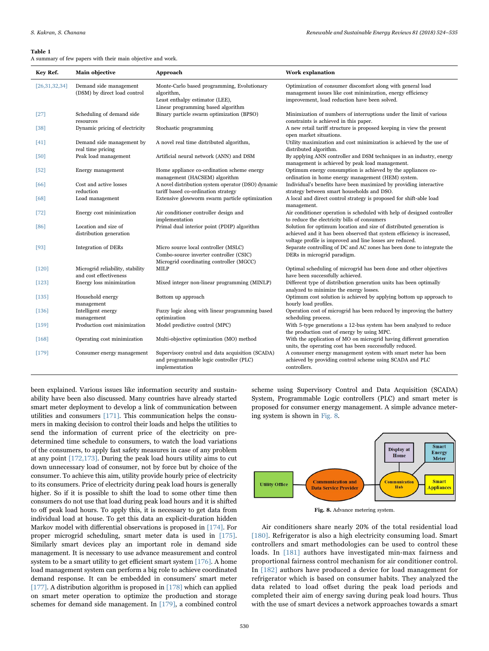#### <span id="page-6-0"></span>Table 1

A summary of few papers with their main objective and work.

| Key Ref.      | Main objective                                             | Approach                                                                                                                           | <b>Work explanation</b>                                                                                                                                                                                   |
|---------------|------------------------------------------------------------|------------------------------------------------------------------------------------------------------------------------------------|-----------------------------------------------------------------------------------------------------------------------------------------------------------------------------------------------------------|
| [26,31,32,34] | Demand side management<br>(DSM) by direct load control     | Monte-Carlo based programming, Evolutionary<br>algorithm,<br>Least enthalpy estimator (LEE),<br>Linear programming based algorithm | Optimization of consumer discomfort along with general load<br>management issues like cost minimization, energy efficiency<br>improvement, load reduction have been solved.                               |
| $[27]$        | Scheduling of demand side<br>resources                     | Binary particle swarm optimization (BPSO)                                                                                          | Minimization of numbers of interruptions under the limit of various<br>constraints is achieved in this paper.                                                                                             |
| [38]          | Dynamic pricing of electricity                             | Stochastic programming                                                                                                             | A new retail tariff structure is proposed keeping in view the present<br>open market situations.                                                                                                          |
| $[41]$        | Demand side management by<br>real time pricing             | A novel real time distributed algorithm,                                                                                           | Utility maximization and cost minimization is achieved by the use of<br>distributed algorithm.                                                                                                            |
| $[50]$        | Peak load management                                       | Artificial neural network (ANN) and DSM                                                                                            | By applying ANN controller and DSM techniques in an industry, energy<br>management is achieved by peak load management.                                                                                   |
| $[52]$        | Energy management                                          | Home appliance co-ordination scheme energy<br>management (HACSEM) algorithm                                                        | Optimum energy consumption is achieved by the appliances co-<br>ordination in home energy management (HEM) system.                                                                                        |
| [66]          | Cost and active losses<br>reduction                        | A novel distribution system operator (DSO) dynamic<br>tariff based co-ordination strategy                                          | Individual's benefits have been maximized by providing interactive<br>strategy between smart households and DSO.                                                                                          |
| [68]          | Load management                                            | Extensive glowworm swarm particle optimization                                                                                     | A local and direct control strategy is proposed for shift-able load<br>management.                                                                                                                        |
| $[72]$        | Energy cost minimization                                   | Air conditioner controller design and<br>implementation                                                                            | Air conditioner operation is scheduled with help of designed controller<br>to reduce the electricity bills of consumers                                                                                   |
| [86]          | Location and size of<br>distribution generation            | Primal dual interior point (PDIP) algorithm                                                                                        | Solution for optimum location and size of distributed generation is<br>achieved and it has been observed that system efficiency is increased,<br>voltage profile is improved and line losses are reduced. |
| [93]          | <b>Integration of DERs</b>                                 | Micro source local controller (MSLC)<br>Combo-source inverter controller (CSIC)<br>Microgrid coordinating controller (MGCC)        | Separate controlling of DC and AC zones has been done to integrate the<br>DERs in microgrid paradigm.                                                                                                     |
| $[120]$       | Microgrid reliability, stability<br>and cost effectiveness | MILP                                                                                                                               | Optimal scheduling of microgrid has been done and other objectives<br>have been successfully achieved.                                                                                                    |
| $[123]$       | Energy loss minimization                                   | Mixed integer non-linear programming (MINLP)                                                                                       | Different type of distribution generation units has been optimally<br>analyzed to minimize the energy losses.                                                                                             |
| $[135]$       | Household energy<br>management                             | Bottom up approach                                                                                                                 | Optimum cost solution is achieved by applying bottom up approach to<br>hourly load profiles.                                                                                                              |
| $[136]$       | Intelligent energy<br>management                           | Fuzzy logic along with linear programming based<br>optimization                                                                    | Operation cost of microgrid has been reduced by improving the battery<br>scheduling process.                                                                                                              |
| $[159]$       | Production cost minimization                               | Model predictive control (MPC)                                                                                                     | With 5-type generations a 12-bus system has been analyzed to reduce<br>the production cost of energy by using MPC.                                                                                        |
| [168]         | Operating cost minimization                                | Multi-objective optimization (MO) method                                                                                           | With the application of MO on microgrid having different generation<br>units, the operating cost has been successfully reduced.                                                                           |
| $[179]$       | Consumer energy management                                 | Supervisory control and data acquisition (SCADA)<br>and programmable logic controller (PLC)<br>implementation                      | A consumer energy management system with smart meter has been<br>achieved by providing control scheme using SCADA and PLC<br>controllers.                                                                 |

been explained. Various issues like information security and sustainability have been also discussed. Many countries have already started smart meter deployment to develop a link of communication between utilities and consumers [\[171\]](#page--1-79). This communication helps the consumers in making decision to control their loads and helps the utilities to send the information of current price of the electricity on predetermined time schedule to consumers, to watch the load variations of the consumers, to apply fast safety measures in case of any problem at any point [\[172,173\].](#page--1-80) During the peak load hours utility aims to cut down unnecessary load of consumer, not by force but by choice of the consumer. To achieve this aim, utility provide hourly price of electricity to its consumers. Price of electricity during peak load hours is generally higher. So if it is possible to shift the load to some other time then consumers do not use that load during peak load hours and it is shifted to off peak load hours. To apply this, it is necessary to get data from individual load at house. To get this data an explicit-duration hidden Markov model with differential observations is proposed in [\[174\].](#page--1-15) For proper microgrid scheduling, smart meter data is used in [\[175\].](#page--1-81) Similarly smart devices play an important role in demand side management. It is necessary to use advance measurement and control system to be a smart utility to get efficient smart system [\[176\].](#page--1-82) A home load management system can perform a big role to achieve coordinated demand response. It can be embedded in consumers' smart meter [\[177\]](#page--1-18). A distribution algorithm is proposed in [\[178\]](#page--1-19) which can applied on smart meter operation to optimize the production and storage schemes for demand side management. In [\[179\],](#page--1-83) a combined control

scheme using Supervisory Control and Data Acquisition (SCADA) System, Programmable Logic controllers (PLC) and smart meter is proposed for consumer energy management. A simple advance metering system is shown in [Fig. 8.](#page-6-1)

<span id="page-6-1"></span>

Fig. 8. Advance metering system.

Air conditioners share nearly 20% of the total residential load [\[180\].](#page--1-84) Refrigerator is also a high electricity consuming load. Smart controllers and smart methodologies can be used to control these loads. In [\[181\]](#page--1-21) authors have investigated min-max fairness and proportional fairness control mechanism for air conditioner control. In [\[182\]](#page--1-85) authors have produced a device for load management for refrigerator which is based on consumer habits. They analyzed the data related to load offset during the peak load periods and completed their aim of energy saving during peak load hours. Thus with the use of smart devices a network approaches towards a smart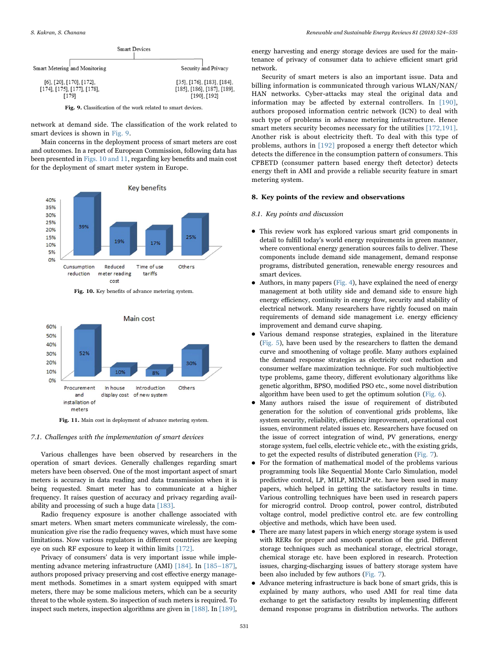<span id="page-7-0"></span>

Fig. 9. Classification of the work related to smart devices.

network at demand side. The classification of the work related to smart devices is shown in [Fig. 9](#page-7-0).

Main concerns in the deployment process of smart meters are cost and outcomes. In a report of European Commission, following data has been presented in [Figs. 10 and 11,](#page-7-1) regarding key benefits and main cost for the deployment of smart meter system in Europe.

<span id="page-7-1"></span>





Fig. 11. Main cost in deployment of advance metering system.

#### 7.1. Challenges with the implementation of smart devices

Various challenges have been observed by researchers in the operation of smart devices. Generally challenges regarding smart meters have been observed. One of the most important aspect of smart meters is accuracy in data reading and data transmission when it is being requested. Smart meter has to communicate at a higher frequency. It raises question of accuracy and privacy regarding availability and processing of such a huge data [\[183\].](#page--1-23)

Radio frequency exposure is another challenge associated with smart meters. When smart meters communicate wirelessly, the communication give rise the radio frequency waves, which must have some limitations. Now various regulators in different countries are keeping eye on such RF exposure to keep it within limits [\[172\]](#page--1-80).

Privacy of consumers' data is very important issue while implementing advance metering infrastructure (AMI) [\[184\].](#page--1-88) In [185–[187\],](#page--1-60) authors proposed privacy preserving and cost effective energy management methods. Sometimes in a smart system equipped with smart meters, there may be some malicious meters, which can be a security threat to the whole system. So inspection of such meters is required. To inspect such meters, inspection algorithms are given in [\[188\]](#page--1-27). In [\[189\],](#page--1-64)

energy harvesting and energy storage devices are used for the maintenance of privacy of consumer data to achieve efficient smart grid network.

Security of smart meters is also an important issue. Data and billing information is communicated through various WLAN/NAN/ HAN networks. Cyber-attacks may steal the original data and information may be affected by external controllers. In [\[190\]](#page--1-28), authors proposed information centric network (ICN) to deal with such type of problems in advance metering infrastructure. Hence smart meters security becomes necessary for the utilities [\[172,191\].](#page--1-80) Another risk is about electricity theft. To deal with this type of problems, authors in [\[192\]](#page--1-30) proposed a energy theft detector which detects the difference in the consumption pattern of consumers. This CPBETD (consumer pattern based energy theft detector) detects energy theft in AMI and provide a reliable security feature in smart metering system.

#### 8. Key points of the review and observations

#### 8.1. Key points and discussion

- This review work has explored various smart grid components in detail to fulfill today's world energy requirements in green manner, where conventional energy generation sources fails to deliver. These components include demand side management, demand response programs, distributed generation, renewable energy resources and smart devices.
- Authors, in many papers [\(Fig. 4\)](#page-2-2), have explained the need of energy management at both utility side and demand side to ensure high energy efficiency, continuity in energy flow, security and stability of electrical network. Many researchers have rightly focused on main requirements of demand side management i.e. energy efficiency improvement and demand curve shaping.
- Various demand response strategies, explained in the literature [\(Fig. 5](#page-3-0)), have been used by the researchers to flatten the demand curve and smoothening of voltage profile. Many authors explained the demand response strategies as electricity cost reduction and consumer welfare maximization technique. For such multiobjective type problems, game theory, different evolutionary algorithms like genetic algorithm, BPSO, modified PSO etc., some novel distribution algorithm have been used to get the optimum solution [\(Fig. 6\)](#page-3-1).
- Many authors raised the issue of requirement of distributed generation for the solution of conventional grids problems, like system security, reliability, efficiency improvement, operational cost issues, environment related issues etc. Researchers have focused on the issue of correct integration of wind, PV generations, energy storage system, fuel cells, electric vehicle etc., with the existing grids, to get the expected results of distributed generation [\(Fig. 7](#page-5-0)).
- For the formation of mathematical model of the problems various programming tools like Sequential Monte Carlo Simulation, model predictive control, LP, MILP, MINLP etc. have been used in many papers, which helped in getting the satisfactory results in time. Various controlling techniques have been used in research papers for microgrid control. Droop control, power control, distributed voltage control, model predictive control etc. are few controlling objective and methods, which have been used.
- There are many latest papers in which energy storage system is used with RERs for proper and smooth operation of the grid. Different storage techniques such as mechanical storage, electrical storage, chemical storage etc. have been explored in research. Protection issues, charging-discharging issues of battery storage system have been also included by few authors ([Fig. 7\)](#page-5-0).
- Advance metering infrastructure is back bone of smart grids, this is explained by many authors, who used AMI for real time data exchange to get the satisfactory results by implementing different demand response programs in distribution networks. The authors